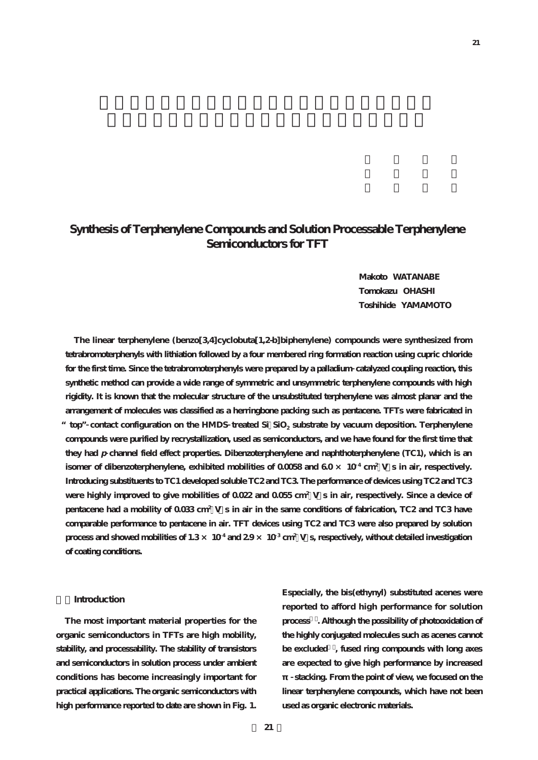# **Synthesis of Terphenylene Compounds and Solution Processable Terphenylene Semiconductors for TFT**

**Makoto WATANABE Tomokazu OHASHI Toshihide YAMAMOTO**

**The linear terphenylene (benzo[3,4]cyclobuta[1,2-b]biphenylene) compounds were synthesized from tetrabromoterphenyls with lithiation followed by a four membered ring formation reaction using cupric chloride for the first time. Since the tetrabromoterphenyls were prepared by a palladium catalyzed coupling reaction, this synthetic method can provide a wide range of symmetric and unsymmetric terphenylene compounds with high rigidity. It is known that the molecular structure of the unsubstituted terphenylene was almost planar and the arrangement of molecules was classified as a herringbone packing such as pentacene. TFTs were fabricated in** top" contact configuration on the HMDS treated Si SiO<sub>2</sub> substrate by vacuum deposition. Terphenylene **compounds were purified by recrystallization, used as semiconductors, and we have found for the first time that they had p channel field effect properties. Dibenzoterphenylene and naphthoterphenylene (TC1), which is an isomer of dibenzoterphenylene, exhibited mobilities of 0.0058 and**  $60 \times 10^4$  **cm<sup>2</sup> V s in air, respectively. Introducing substituents to TC1 developed soluble TC2 and TC3. The performance of devices using TC2 and TC3 were highly improved to give mobilities of 0.022 and 0.055 cm<sup>2</sup> V・s in air, respectively. Since a device of pentacene had a mobility of 0.033 cm<sup>2</sup> V・s in air in the same conditions of fabrication, TC2 and TC3 have comparable performance to pentacene in air. TFT devices using TC2 and TC3 were also prepared by solution process and showed mobilities of 1.3 × 10 <sup>4</sup> and 2.9 × 10 <sup>3</sup> cm<sup>2</sup> V・s, respectively, without detailed investigation of coating conditions.**

#### **1.Introduction**

**The most important material properties for the organic semiconductors in TFTs are high mobility, stability, and processability. The stability of transistors and semiconductors in solution process under ambient conditions has become increasingly important for practical applications. The organic semiconductors with high performance reported to date are shown in Fig. 1.**

**Especially, the bis(ethynyl) substituted acenes were reported to afford high performance for solution process1). Although the possibility of photooxidation of the highly conjugated molecules such as acenes cannot be excluded2), fused ring compounds with long axes are expected to give high performance by increased**

**stacking. From the point of view, we focused on the linear terphenylene compounds, which have not been used as organic electronic materials.**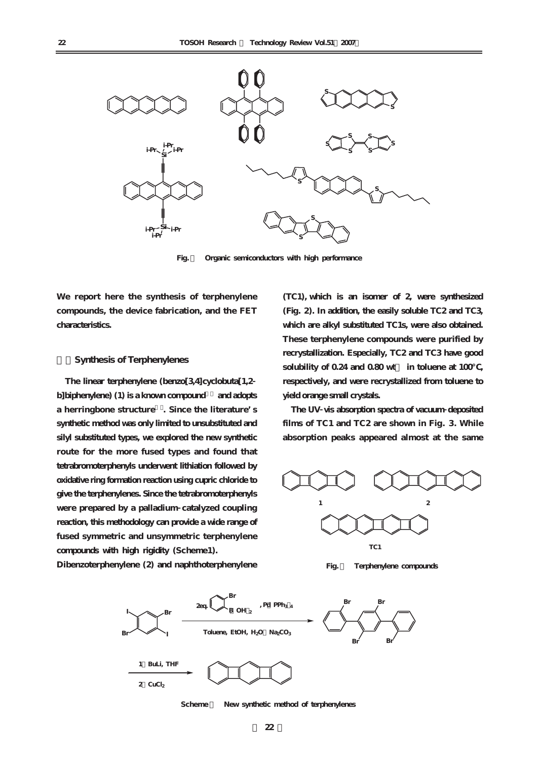

**Fig. 1 Organic semiconductors with high performance**

**We report here the synthesis of terphenylene compounds, the device fabrication, and the FET characteristics.**

### **2.Synthesis of Terphenylenes**

**The linear terphenylene (benzo[3,4]cyclobuta[1,2 b]biphenylene) (1) is a known compound3) and adopts a herringbone structure4). Since the literature's synthetic method was only limited to unsubstituted and silyl substituted types, we explored the new synthetic route for the more fused types and found that tetrabromoterphenyls underwent lithiation followed by oxidative ring formation reaction using cupric chloride to give the terphenylenes. Since the tetrabromoterphenyls were prepared by a palladium catalyzed coupling reaction, this methodology can provide a wide range of fused symmetric and unsymmetric terphenylene compounds with high rigidity (Scheme1).**

**Dibenzoterphenylene (2) and naphthoterphenylene**

**(TC1), which is an isomer of 2, were synthesized (Fig. 2). In addition, the easily soluble TC2 and TC3, which are alkyl substituted TC1s, were also obtained. These terphenylene compounds were purified by recrystallization. Especially, TC2 and TC3 have good solubility of 0.24 and 0.80 wt% in toluene at 100℃, respectively, and were recrystallized from toluene to yield orange small crystals.**

**The UV vis absorption spectra of vacuum deposited films of TC1 and TC2 are shown in Fig. 3. While absorption peaks appeared almost at the same**







**Scheme 1 New synthetic method of terphenylenes**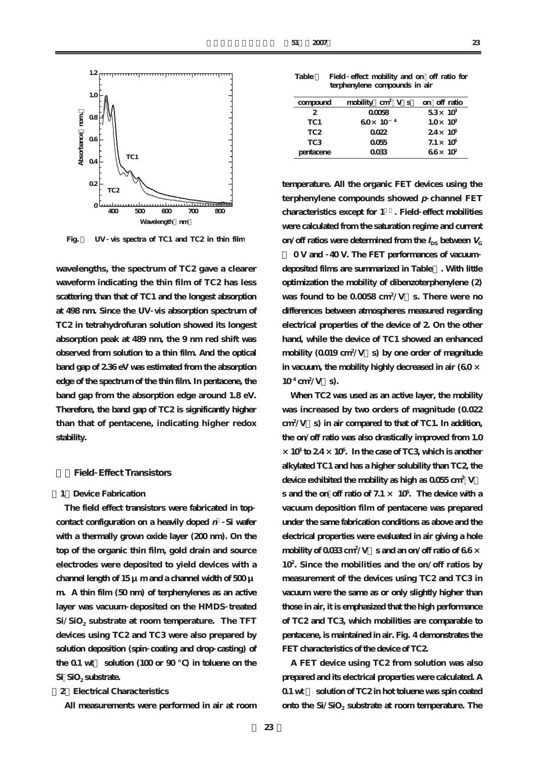

**Fig. 3 UV vis spectra of TC1 and TC2 in thin film**

**wavelengths, the spectrum of TC2 gave a clearer waveform indicating the thin film of TC2 has less scattering than that of TC1 and the longest absorption at 498 nm. Since the UV vis absorption spectrum of TC2 in tetrahydrofuran solution showed its longest absorption peak at 489 nm, the 9 nm red shift was observed from solution to a thin film. And the optical band gap of 2.36 eV was estimated from the absorption edge of the spectrum of the thin film. In pentacene, the band gap from the absorption edge around 1.8 eV. Therefore, the band gap of TC2 is significantly higher than that of pentacene, indicating higher redox stability.**

### **3.Field Effect Transistors**

## **[1]Device Fabrication**

**The field effect transistors were fabricated in top contact configuration on a heavily doped <sup>n</sup> Si wafer** with a thermally grown oxide layer (200 nm). On the **top of the organic thin film, gold drain and source electrodes were deposited to yield devices with a channel length of 15 μm and a channel width of 500 μ m. A thin film (50 nm) of terphenylenes as an active layer was vacuum deposited on the HMDS treated Si/SiO2 substrate at room temperature. The TFT devices using TC2 and TC3 were also prepared by solution deposition (spin coating and drop casting) of** the 0.1 wt solution (100 or 90 ) in toluene on the Si SiO<sub>2</sub> substrate.

#### **[2]Electrical Characteristics**

**All measurements were performed in air at room**

**Table 1 Field effect mobility and on off ratio for terphenylene compounds in air**

| compound        | mobility $\text{cm}^2$ V s | on off ratio          |
|-----------------|----------------------------|-----------------------|
| 2               | 00058                      | $53\times 10^3$       |
| TC <sub>1</sub> | $60 \times 10^{-4}$        | $1.0\times 10^9$      |
| TC <sub>2</sub> | 0022                       | $24\times 10^6$       |
| TC <sub>3</sub> | 0055                       | $7.1 \times 10^6$     |
| pentacene       | 0033                       | $66x$ 10 <sup>2</sup> |

**temperature. All the organic FET devices using the terphenylene compounds showed p channel FET characteristics except for 15). Field effect mobilities were calculated from the saturation regime and current on**/**off** ratios were determined from the  $I_{DS}$  between  $V_{C}$ 

**= 0 V and 40 V. The FET performances of vacuum deposited films are summarized in Table1. With little optimization the mobility of dibenzoterphenylene (2) was found to be 0.0058 cm<sup>2</sup> /V・s. There were no differences between atmospheres measured regarding electrical properties of the device of 2. On the other hand, while the device of TC1 showed an enhanced mobility (0.019 cm<sup>2</sup> /V・s) by one order of magnitude in vacuum, the mobility highly decreased in air (6.0 ×**  $10^4 \text{ cm}^2/\text{V} \quad \text{s}.$ 

**When TC2 was used as an active layer, the mobility was increased by two orders of magnitude (0.022 cm<sup>2</sup> /V・s) in air compared to that of TC1. In addition, the on/off ratio was also drastically improved from 1.0 ×103 to 2.4 ×10<sup>6</sup> . In the case of TC3, which is another alkylated TC1 and has a higher solubility than TC2, the device exhibited the mobility as high as 0.055 cm<sup>2</sup> V・ s and the on off ratio of 7.1 × 10<sup>6</sup> . The device with a vacuum deposition film of pentacene was prepared under the same fabrication conditions as above and the electrical properties were evaluated in air giving a hole mobility of 0.033 cm<sup>2</sup> /V・s and an on/off ratio of 6.6 × 10<sup>2</sup> . Since the mobilities and the on/off ratios by measurement of the devices using TC2 and TC3 in vacuum were the same as or only slightly higher than those in air, it is emphasized that the high performance of TC2 and TC3, which mobilities are comparable to pentacene, is maintained in air. Fig. 4 demonstrates the FET characteristics of the device of TC2.**

**A FET device using TC2 from solution was also prepared and its electrical properties were calculated. A 0.1 wt % solution of TC2 in hot toluene was spin coated** onto the Si/SiO<sub>2</sub> substrate at room temperature. The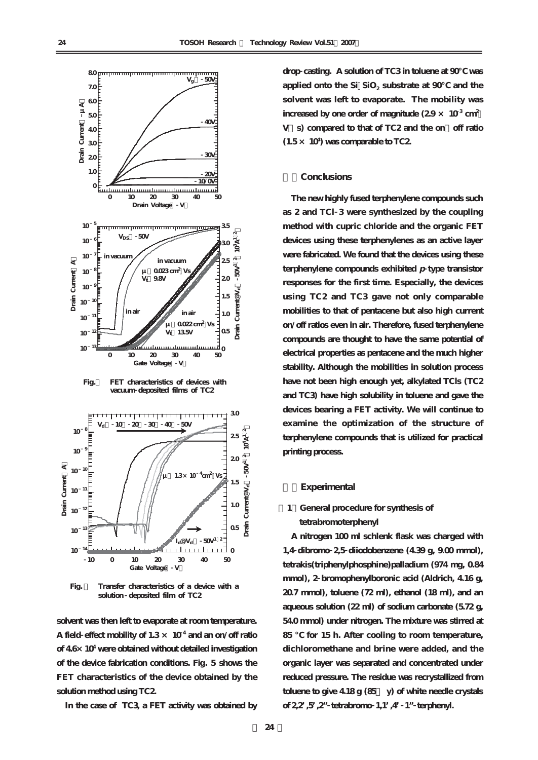

**Fig.4 FET characteristics of devices with vacuum deposited films of TC2**



**Fig. 5 Transfer characteristics of a device with a solution deposited film of TC2** 

**solvent was then left to evaporate at room temperature. A field effect mobility of 1.3 × 10 <sup>4</sup> and an on/off ratio of 4.6×10<sup>4</sup> were obtained without detailed investigation of the device fabrication conditions. Fig. 5 shows the FET characteristics of the device obtained by the solution method using TC2.**

**In the case of TC3, a FET activity was obtained by**

**drop casting. A solution of TC3 in toluene at 90℃ was applied onto the Si SiO<sub>2</sub> substrate at 90 and the solvent was left to evaporate. The mobility was** increased by one order of magnitude  $(2.9 \times 10^3 \text{ cm}^2)$ **V・s) compared to that of TC2 and the on/off ratio (1.5 × 10<sup>4</sup> ) was comparable to TC2.**

#### **4.Conclusions**

**The new highly fused terphenylene compounds such as 2 and TCl 3 were synthesized by the coupling method with cupric chloride and the organic FET devices using these terphenylenes as an active layer were fabricated. We found that the devices using these terphenylene compounds exhibited p type transistor responses for the first time. Especially, the devices using TC2 and TC3 gave not only comparable mobilities to that of pentacene but also high current on/off ratios even in air. Therefore, fused terphenylene compounds are thought to have the same potential of electrical properties as pentacene and the much higher stability. Although the mobilities in solution process have not been high enough yet, alkylated TCls (TC2 and TC3) have high solubility in toluene and gave the devices bearing a FET activity. We will continue to examine the optimization of the structure of terphenylene compounds that is utilized for practical printing process.**

#### **5.Experimental**

# **[1]General procedure for synthesis of tetrabromoterphenyl**

**A nitrogen 100 ml schlenk flask was charged with 1,4 dibromo 2,5 diiodobenzene (4.39 g, 9.00 mmol), tetrakis(triphenylphosphine)palladium (974 mg, 0.84 mmol), 2 bromophenylboronic acid (Aldrich, 4.16 g, 20.7 mmol), toluene (72 ml), ethanol (18 ml), and an aqueous solution (22 ml) of sodium carbonate (5.72 g, 54.0 mmol) under nitrogen. The mixture was stirred at 85 ℃ for 15 h. After cooling to room temperature, dichloromethane and brine were added, and the organic layer was separated and concentrated under reduced pressure. The residue was recrystallized from toluene to give 4.18 g (85% y) of white needle crystals of 2,2',5',2"tetrabromo 1,1',4'1"terphenyl.**